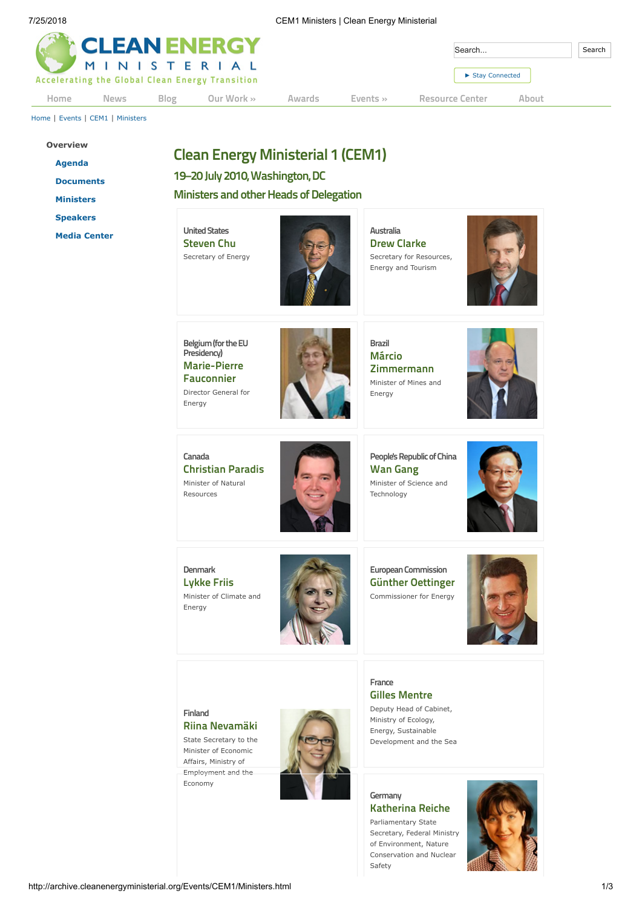| <b>CLEAN ENERGY</b> |      | Search      | Search                                                         |        |              |                 |       |  |
|---------------------|------|-------------|----------------------------------------------------------------|--------|--------------|-----------------|-------|--|
|                     |      |             | MINISTERIAL<br>Accelerating the Global Clean Energy Transition |        |              | Stay Connected  |       |  |
| Home                | News | <b>Blog</b> | Our Work »                                                     | Awards | Events $\gg$ | Resource Center | About |  |

[Home](http://archive.cleanenergyministerial.org/index.html) | [Events](http://archive.cleanenergyministerial.org/Events.html) | [CEM1](http://archive.cleanenergyministerial.org/Events/CEM1.html) | [Ministers](http://archive.cleanenergyministerial.org/Events/CEM1/Ministers.html)

- **[Overview](http://archive.cleanenergyministerial.org/Events/CEM1.html) [Agenda](http://archive.cleanenergyministerial.org/Events/CEM1/Agenda.html) [Documents](http://archive.cleanenergyministerial.org/Resource-Center/Ministerials/CEM1-Resources.html) [Ministers](http://archive.cleanenergyministerial.org/Events/CEM1/Ministers.html) [Speakers](http://archive.cleanenergyministerial.org/Events/CEM1/Speakers.html)**
	- **[Media Center](http://archive.cleanenergyministerial.org/Events/CEM1/Media-Center.html)**

# **Clean Energy Ministerial 1 (CEM1)**

**19–20 July 2010,Washington,DC**

**Ministers and other Heads of Delegation** 

**United States Steven Chu** Secretary of Energy



**Australia Drew Clarke** Secretary for Resources, Energy and Tourism



**Belgium(fortheEU Presidency) Marie-Pierre Fauconnier** Director General for Energy



**Brazil Márcio Zimmermann** Minister of Mines and Energy



**Canada Christian Paradis** Minister of Natural Resources



People's Republic of China **Wan Gang** Minister of Science and Technology



**Denmark Lykke Friis** Minister of Climate and Energy



**European Commission Günther Oettinger** Commissioner for Energy



**Finland Riina Nevamäki**

State Secretary to the Minister of Economic Affairs, Ministry of Employment and the Economy



**Germany Katherina Reiche**

**France**

**Gilles Mentre** Deputy Head of Cabinet, Ministry of Ecology, Energy, Sustainable Development and the Sea

Parliamentary State Secretary, Federal Ministry of Environment, Nature Conservation and Nuclear Safety

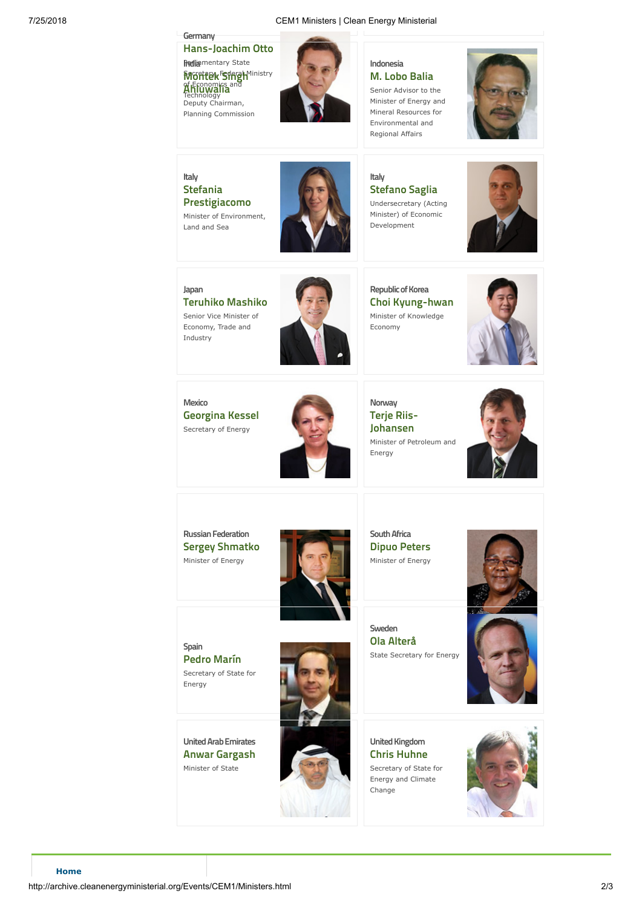#### **Germany Hans-Joachim Otto Redia**mentary State Sacretary, Federal Ministry of Economics and Technology **Montek Singh**<sup>Mi</sup> **Ahluwalia** Deputy Chairman, Planning Commission



### **Indonesia M. Lobo Balia** Senior Advisor to the Minister of Energy and Mineral Resources for Environmental and Regional Affairs



## **Italy Stefania Prestigiacomo**

Minister of Environment, Land and Sea



**Italy Stefano Saglia** Undersecretary (Acting Minister) of Economic Development



**Japan Teruhiko Mashiko** Senior Vice Minister of Economy, Trade and

Industry



**Republic of Korea Choi Kyung-hwan** Minister of Knowledge Economy



**Mexico Georgina Kessel** Secretary of Energy



**Norway Terje Riis-Johansen** Minister of Petroleum and Energy



**Russian Federation Sergey Shmatko** Minister of Energy



**SouthAfrica Dipuo Peters** Minister of Energy



**Sweden Ola Alterå** State Secretary for Energy





**UnitedArabEmirates Anwar Gargash** Minister of State



**United Kingdom Chris Huhne** Secretary of State for Energy and Climate Change